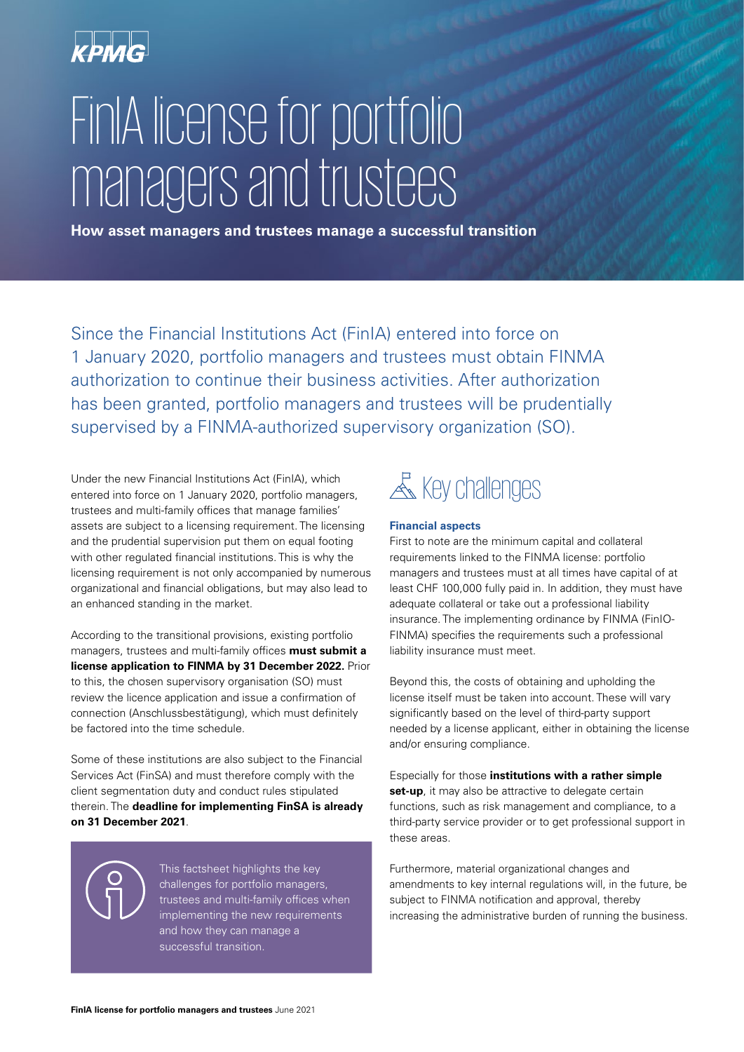

# FinIA license for portfolio managers and trustees

**How asset managers and trustees manage a successful transition**

Since the Financial Institutions Act (FinIA) entered into force on 1 January 2020, portfolio managers and trustees must obtain FINMA authorization to continue their business activities. After authorization has been granted, portfolio managers and trustees will be prudentially supervised by a FINMA-authorized supervisory organization (SO).

Under the new Financial Institutions Act (FinIA), which entered into force on 1 January 2020, portfolio managers, trustees and multi-family offices that manage families' assets are subject to a licensing requirement. The licensing and the prudential supervision put them on equal footing with other regulated financial institutions. This is why the licensing requirement is not only accompanied by numerous organizational and financial obligations, but may also lead to an enhanced standing in the market.

According to the transitional provisions, existing portfolio managers, trustees and multi-family offices **must submit a license application to FINMA by 31 December 2022.** Prior to this, the chosen supervisory organisation (SO) must review the licence application and issue a confirmation of connection (Anschlussbestätigung), which must definitely be factored into the time schedule.

Some of these institutions are also subject to the Financial Services Act (FinSA) and must therefore comply with the client segmentation duty and conduct rules stipulated therein. The **deadline for implementing FinSA is already on 31 December 2021**.

> This factsheet highlights the key challenges for portfolio managers, trustees and multi-family offices when implementing the new requirements and how they can manage a successful transition.

# **& Key challenges**

#### **Financial aspects**

First to note are the minimum capital and collateral requirements linked to the FINMA license: portfolio managers and trustees must at all times have capital of at least CHF 100,000 fully paid in. In addition, they must have adequate collateral or take out a professional liability insurance. The implementing ordinance by FINMA (FinIO-FINMA) specifies the requirements such a professional liability insurance must meet.

Beyond this, the costs of obtaining and upholding the license itself must be taken into account. These will vary significantly based on the level of third-party support needed by a license applicant, either in obtaining the license and/or ensuring compliance.

Especially for those **institutions with a rather simple set-up**, it may also be attractive to delegate certain functions, such as risk management and compliance, to a third-party service provider or to get professional support in these areas.

Furthermore, material organizational changes and amendments to key internal regulations will, in the future, be subject to FINMA notification and approval, thereby increasing the administrative burden of running the business.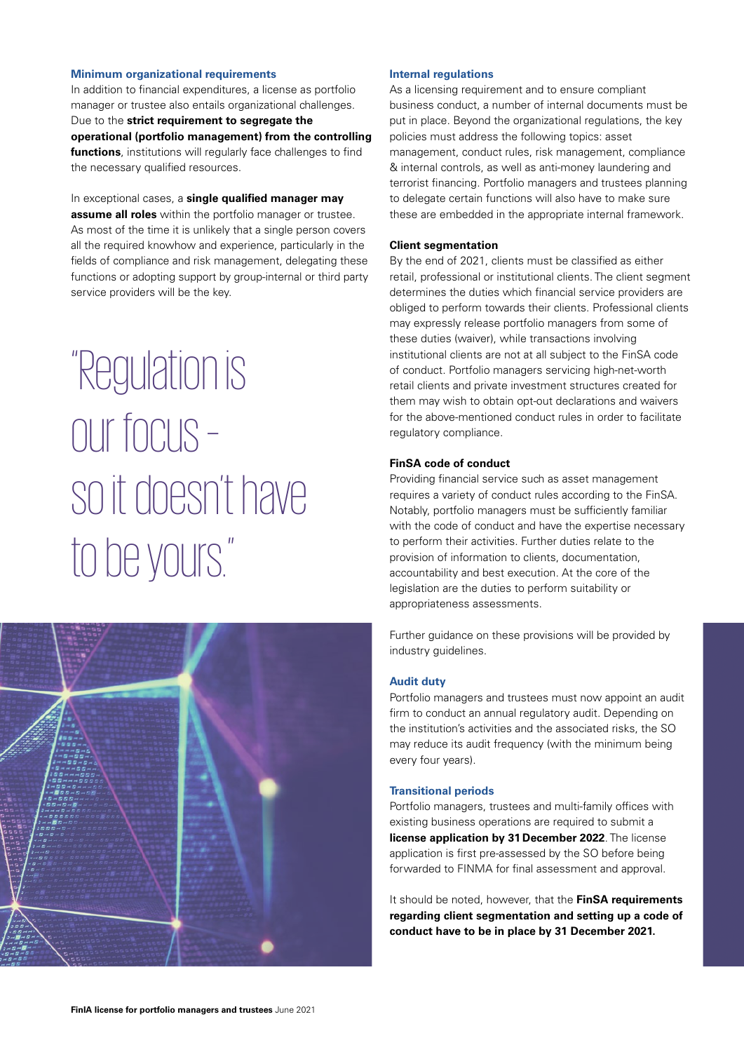#### **Minimum organizational requirements**

In addition to financial expenditures, a license as portfolio manager or trustee also entails organizational challenges. Due to the **strict requirement to segregate the operational (portfolio management) from the controlling functions**, institutions will regularly face challenges to find the necessary qualified resources.

#### In exceptional cases, a **single qualified manager may**

**assume all roles** within the portfolio manager or trustee. As most of the time it is unlikely that a single person covers all the required knowhow and experience, particularly in the fields of compliance and risk management, delegating these functions or adopting support by group-internal or third party service providers will be the key.

"Regulation is our focus – so it doesn't have to be yours."



#### **Internal regulations**

As a licensing requirement and to ensure compliant business conduct, a number of internal documents must be put in place. Beyond the organizational regulations, the key policies must address the following topics: asset management, conduct rules, risk management, compliance & internal controls, as well as anti-money laundering and terrorist financing. Portfolio managers and trustees planning to delegate certain functions will also have to make sure these are embedded in the appropriate internal framework.

#### **Client segmentation**

By the end of 2021, clients must be classified as either retail, professional or institutional clients. The client segment determines the duties which financial service providers are obliged to perform towards their clients. Professional clients may expressly release portfolio managers from some of these duties (waiver), while transactions involving institutional clients are not at all subject to the FinSA code of conduct. Portfolio managers servicing high-net-worth retail clients and private investment structures created for them may wish to obtain opt-out declarations and waivers for the above-mentioned conduct rules in order to facilitate regulatory compliance.

#### **FinSA code of conduct**

Providing financial service such as asset management requires a variety of conduct rules according to the FinSA. Notably, portfolio managers must be sufficiently familiar with the code of conduct and have the expertise necessary to perform their activities. Further duties relate to the provision of information to clients, documentation, accountability and best execution. At the core of the legislation are the duties to perform suitability or appropriateness assessments.

Further guidance on these provisions will be provided by industry guidelines.

#### **Audit duty**

Portfolio managers and trustees must now appoint an audit firm to conduct an annual regulatory audit. Depending on the institution's activities and the associated risks, the SO may reduce its audit frequency (with the minimum being every four years).

#### **Transitional periods**

Portfolio managers, trustees and multi-family offices with existing business operations are required to submit a **license application by 31 December 2022**. The license application is first pre-assessed by the SO before being forwarded to FINMA for final assessment and approval.

It should be noted, however, that the **FinSA requirements regarding client segmentation and setting up a code of conduct have to be in place by 31 December 2021.**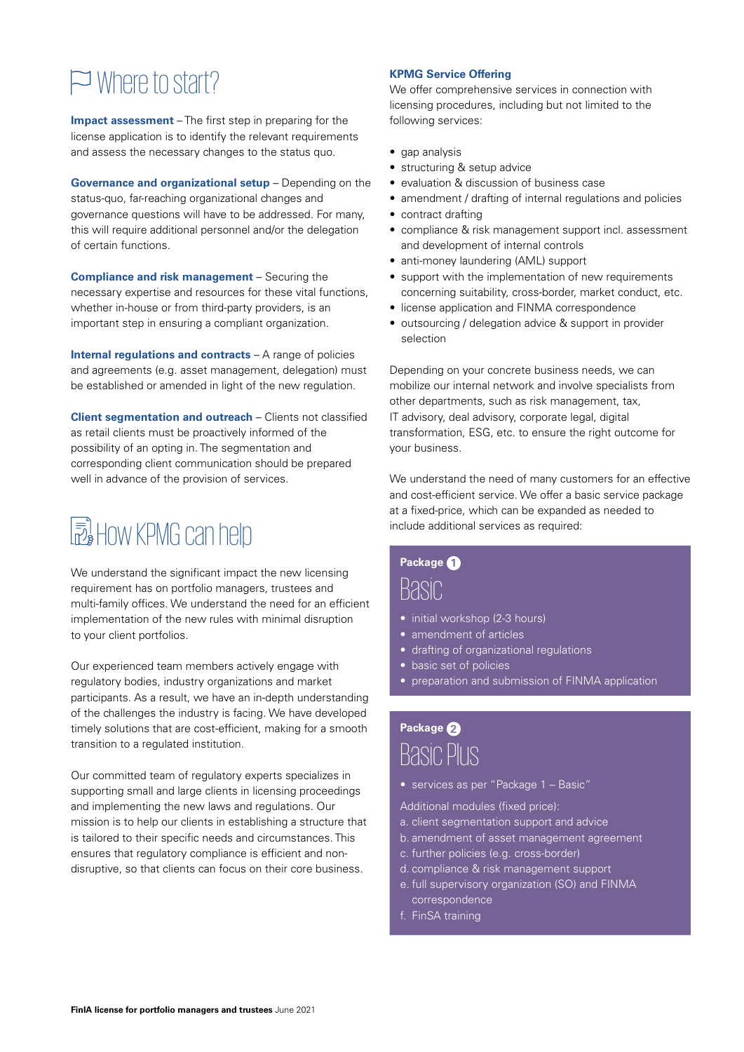## Where to start?

**Impact assessment** – The first step in preparing for the license application is to identify the relevant requirements and assess the necessary changes to the status quo.

**Governance and organizational setup** – Depending on the status-quo, far-reaching organizational changes and governance questions will have to be addressed. For many, this will require additional personnel and/or the delegation of certain functions.

**Compliance and risk management** – Securing the necessary expertise and resources for these vital functions, whether in-house or from third-party providers, is an important step in ensuring a compliant organization.

**Internal regulations and contracts** – A range of policies and agreements (e.g. asset management, delegation) must be established or amended in light of the new regulation.

**Client segmentation and outreach** – Clients not classified as retail clients must be proactively informed of the possibility of an opting in. The segmentation and corresponding client communication should be prepared well in advance of the provision of services.

# How KPMG can help

We understand the significant impact the new licensing requirement has on portfolio managers, trustees and multi-family offices. We understand the need for an efficient implementation of the new rules with minimal disruption to your client portfolios.

Our experienced team members actively engage with regulatory bodies, industry organizations and market participants. As a result, we have an in-depth understanding of the challenges the industry is facing. We have developed timely solutions that are cost-efficient, making for a smooth transition to a regulated institution.

Our committed team of regulatory experts specializes in supporting small and large clients in licensing proceedings and implementing the new laws and regulations. Our mission is to help our clients in establishing a structure that is tailored to their specific needs and circumstances. This ensures that regulatory compliance is efficient and nondisruptive, so that clients can focus on their core business.

#### **KPMG Service Offering**

We offer comprehensive services in connection with licensing procedures, including but not limited to the following services:

- gap analysis
- structuring & setup advice
- evaluation & discussion of business case
- amendment / drafting of internal regulations and policies
- contract drafting
- compliance & risk management support incl. assessment and development of internal controls
- anti-money laundering (AML) support
- support with the implementation of new requirements concerning suitability, cross-border, market conduct, etc.
- license application and FINMA correspondence
- outsourcing / delegation advice & support in provider selection

Depending on your concrete business needs, we can mobilize our internal network and involve specialists from other departments, such as risk management, tax, IT advisory, deal advisory, corporate legal, digital transformation, ESG, etc. to ensure the right outcome for your business.

We understand the need of many customers for an effective and cost-efficient service. We offer a basic service package at a fixed-price, which can be expanded as needed to include additional services as required:

### **Package 1**

### Basic

- initial workshop (2-3 hours)
- amendment of articles
- drafting of organizational regulations
- basic set of policies
- preparation and submission of FINMA application

### **Package 2** Basic Plus

- services as per "Package 1 Basic"
- Additional modules (fixed price):
- a. client segmentation support and advice
- b. amendment of asset management agreement
- c. further policies (e.g. cross-border)
- d. compliance & risk management support
- e. full supervisory organization (SO) and FINMA correspondence
- f. FinSA training